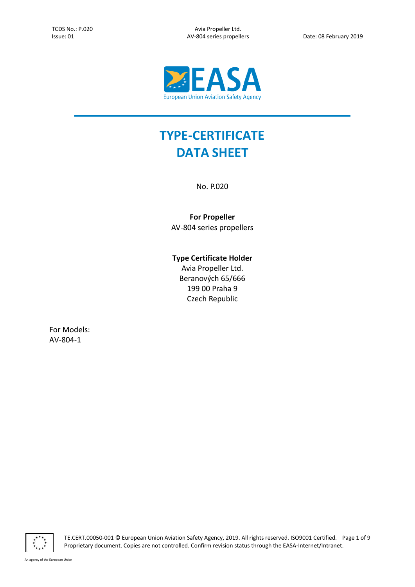TCDS No.: P.020 **Avia Propeller Ltd.** Issue: 01 **AV-804** series propellers Date: 08 February 2019



# **TYPE-CERTIFICATE DATA SHEET**

No. P.020

# **For Propeller** AV-804 series propellers

# **Type Certificate Holder**

Avia Propeller Ltd. Beranových 65/666 199 00 Praha 9 Czech Republic

For Models: AV-804-1

 $x^{**}$ 

TE.CERT.00050-001 © European Union Aviation Safety Agency, 2019. All rights reserved. ISO9001 Certified. Page 1 of 9 Proprietary document. Copies are not controlled. Confirm revision status through the EASA-Internet/Intranet.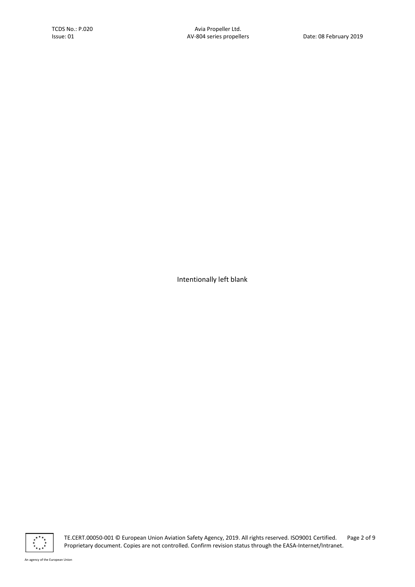Intentionally left blank



TE.CERT.00050-001 © European Union Aviation Safety Agency, 2019. All rights reserved. ISO9001 Certified. Page 2 of 9 Proprietary document. Copies are not controlled. Confirm revision status through the EASA-Internet/Intranet.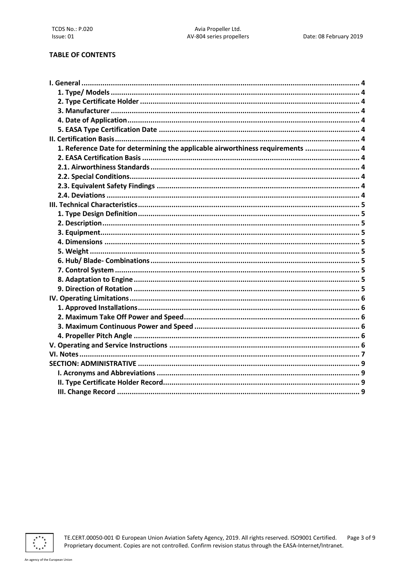# **TABLE OF CONTENTS**

| 1. Reference Date for determining the applicable airworthiness requirements  4 |  |
|--------------------------------------------------------------------------------|--|
|                                                                                |  |
|                                                                                |  |
|                                                                                |  |
|                                                                                |  |
|                                                                                |  |
|                                                                                |  |
|                                                                                |  |
|                                                                                |  |
|                                                                                |  |
|                                                                                |  |
|                                                                                |  |
|                                                                                |  |
|                                                                                |  |
|                                                                                |  |
|                                                                                |  |
|                                                                                |  |
|                                                                                |  |
|                                                                                |  |
|                                                                                |  |
|                                                                                |  |
|                                                                                |  |
|                                                                                |  |
|                                                                                |  |
|                                                                                |  |
|                                                                                |  |
|                                                                                |  |
|                                                                                |  |

<span id="page-2-0"></span>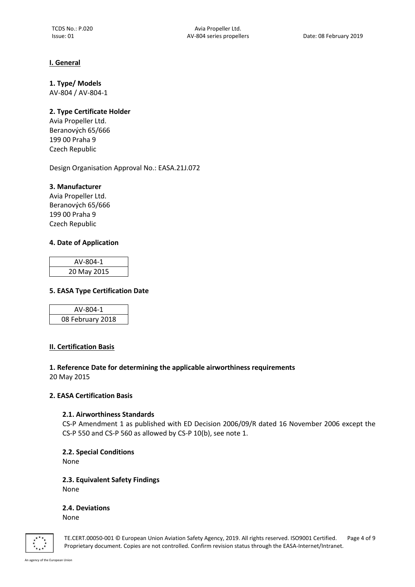#### <span id="page-3-0"></span>**I. General**

**1. Type/ Models** AV-804 / AV-804-1

#### **2. Type Certificate Holder**

Avia Propeller Ltd. Beranových 65/666 199 00 Praha 9 Czech Republic

Design Organisation Approval No.: EASA.21J.072

#### <span id="page-3-1"></span>**3. Manufacturer**

Avia Propeller Ltd. Beranových 65/666 199 00 Praha 9 Czech Republic

#### <span id="page-3-2"></span>**4. Date of Application**

| AV-804-1    |  |
|-------------|--|
| 20 May 2015 |  |

#### <span id="page-3-3"></span>**5. EASA Type Certification Date**

| AV-804-1         |  |
|------------------|--|
| 08 February 2018 |  |

#### <span id="page-3-4"></span>**II. Certification Basis**

# <span id="page-3-5"></span>**1. Reference Date for determining the applicable airworthiness requirements**

20 May 2015

# <span id="page-3-6"></span>**2. EASA Certification Basis**

#### <span id="page-3-7"></span>**2.1. Airworthiness Standards**

CS-P Amendment 1 as published with ED Decision 2006/09/R dated 16 November 2006 except the CS-P 550 and CS-P 560 as allowed by CS-P 10(b), see note 1.

#### <span id="page-3-8"></span>**2.2. Special Conditions**

None

#### <span id="page-3-9"></span>**2.3. Equivalent Safety Findings** None

<span id="page-3-10"></span>**2.4. Deviations**

None



TE.CERT.00050-001 © European Union Aviation Safety Agency, 2019. All rights reserved. ISO9001 Certified. Page 4 of 9 Proprietary document. Copies are not controlled. Confirm revision status through the EASA-Internet/Intranet.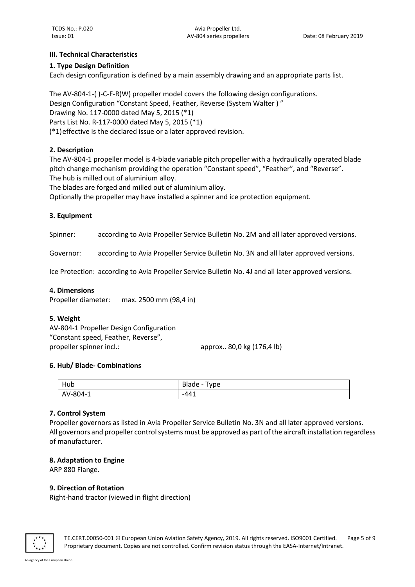# <span id="page-4-0"></span>**III. Technical Characteristics**

## <span id="page-4-1"></span>**1. Type Design Definition**

<span id="page-4-2"></span>Each design configuration is defined by a main assembly drawing and an appropriate parts list.

The AV-804-1-( )-C-F-R(W) propeller model covers the following design configurations.

Design Configuration "Constant Speed, Feather, Reverse (System Walter ) "

Drawing No. 117-0000 dated May 5, 2015 (\*1)

Parts List No. R-117-0000 dated May 5, 2015 (\*1)

(\*1)effective is the declared issue or a later approved revision.

# **2. Description**

<span id="page-4-3"></span>The AV-804-1 propeller model is 4-blade variable pitch propeller with a hydraulically operated blade pitch change mechanism providing the operation "Constant speed", "Feather", and "Reverse". The hub is milled out of aluminium alloy.

The blades are forged and milled out of aluminium alloy.

Optionally the propeller may have installed a spinner and ice protection equipment.

# **3. Equipment**

Spinner: according to Avia Propeller Service Bulletin No. 2M and all later approved versions.

Governor: according to Avia Propeller Service Bulletin No. 3N and all later approved versions.

<span id="page-4-4"></span>Ice Protection: according to Avia Propeller Service Bulletin No. 4J and all later approved versions.

# **4. Dimensions**

<span id="page-4-5"></span>Propeller diameter: max. 2500 mm (98,4 in)

#### **5. Weight**

<span id="page-4-6"></span>AV-804-1 Propeller Design Configuration "Constant speed, Feather, Reverse", propeller spinner incl.: approx.. 80,0 kg (176,4 lb)

# **6. Hub/ Blade- Combinations**

| Hub <sup>'</sup> | Blade -<br>"vpe |
|------------------|-----------------|
| AV-804-1         | -441            |

# <span id="page-4-7"></span>**7. Control System**

Propeller governors as listed in Avia Propeller Service Bulletin No. 3N and all later approved versions. All governors and propeller control systems must be approved as part of the aircraft installation regardless of manufacturer.

# <span id="page-4-8"></span>**8. Adaptation to Engine**

ARP 880 Flange.

#### <span id="page-4-9"></span>**9. Direction of Rotation**

Right-hand tractor (viewed in flight direction)



TE.CERT.00050-001 © European Union Aviation Safety Agency, 2019. All rights reserved. ISO9001 Certified. Page 5 of 9 Proprietary document. Copies are not controlled. Confirm revision status through the EASA-Internet/Intranet.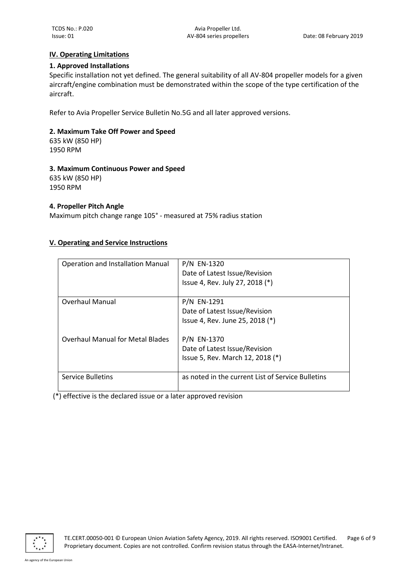#### <span id="page-5-0"></span>**IV. Operating Limitations**

#### <span id="page-5-1"></span>**1. Approved Installations**

Specific installation not yet defined. The general suitability of all AV-804 propeller models for a given aircraft/engine combination must be demonstrated within the scope of the type certification of the aircraft.

Refer to Avia Propeller Service Bulletin No.5G and all later approved versions.

# **2. Maximum Take Off Power and Speed**

635 kW (850 HP) 1950 RPM

# <span id="page-5-2"></span>**3. Maximum Continuous Power and Speed**

635 kW (850 HP) 1950 RPM

# <span id="page-5-3"></span>**4. Propeller Pitch Angle**

Maximum pitch change range 105° - measured at 75% radius station

# <span id="page-5-4"></span>**V. Operating and Service Instructions**

| <b>Operation and Installation Manual</b> | <b>P/N EN-1320</b><br>Date of Latest Issue/Revision<br>Issue 4, Rev. July 27, 2018 (*)  |
|------------------------------------------|-----------------------------------------------------------------------------------------|
| <b>Overhaul Manual</b>                   | <b>P/N EN-1291</b><br>Date of Latest Issue/Revision<br>Issue 4, Rev. June 25, 2018 (*)  |
| <b>Overhaul Manual for Metal Blades</b>  | <b>P/N EN-1370</b><br>Date of Latest Issue/Revision<br>Issue 5, Rev. March 12, 2018 (*) |
| <b>Service Bulletins</b>                 | as noted in the current List of Service Bulletins                                       |

(\*) effective is the declared issue or a later approved revision



TE.CERT.00050-001 © European Union Aviation Safety Agency, 2019. All rights reserved. ISO9001 Certified. Page 6 of 9 Proprietary document. Copies are not controlled. Confirm revision status through the EASA-Internet/Intranet.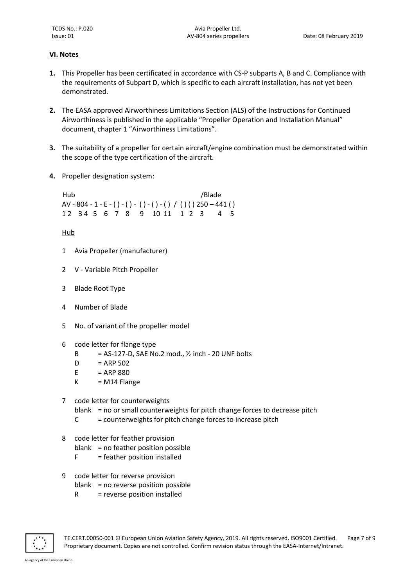# <span id="page-6-0"></span>**VI. Notes**

- **1.** This Propeller has been certificated in accordance with CS-P subparts A, B and C. Compliance with the requirements of Subpart D, which is specific to each aircraft installation, has not yet been demonstrated.
- **2.** The EASA approved Airworthiness Limitations Section (ALS) of the Instructions for Continued Airworthiness is published in the applicable "Propeller Operation and Installation Manual" document, chapter 1 "Airworthiness Limitations".
- **3.** The suitability of a propeller for certain aircraft/engine combination must be demonstrated within the scope of the type certification of the aircraft.
- **4.** Propeller designation system:

Hub /Blade AV - 804 - 1 - E - ( ) - ( ) - ( ) - ( ) - ( ) / ( ) ( ) 250 - 441 ( ) 1 2 3 4 5 6 7 8 9 10 11 1 2 3 4 5

#### Hub

- 1 Avia Propeller (manufacturer)
- 2 V Variable Pitch Propeller
- 3 Blade Root Type
- 4 Number of Blade
- 5 No. of variant of the propeller model
- 6 code letter for flange type
	- B = AS-127-D, SAE No.2 mod.,  $\frac{1}{2}$  inch 20 UNF bolts
	- $D = ARP 502$
	- $E = ARP 880$
	- $K = M14$  Flange

#### 7 code letter for counterweights

- blank = no or small counterweights for pitch change forces to decrease pitch
- $C = counter weights for pitch change forces to increase pitch$
- 8 code letter for feather provision
	- blank =  $no$  feather position possible
	- $F = feather position installed$
- 9 code letter for reverse provision blank = no reverse position possible
	- $R =$  reverse position installed



TE.CERT.00050-001 © European Union Aviation Safety Agency, 2019. All rights reserved. ISO9001 Certified. Page 7 of 9 Proprietary document. Copies are not controlled. Confirm revision status through the EASA-Internet/Intranet.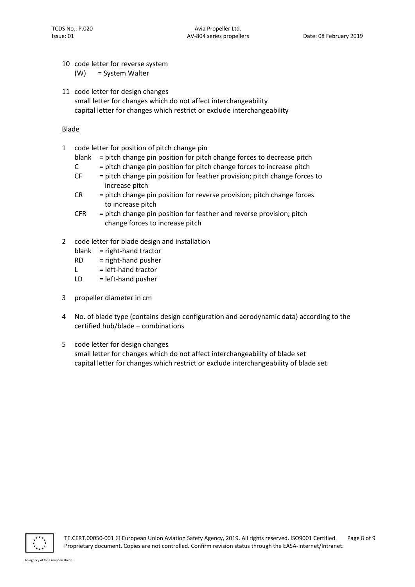- 10 code letter for reverse system
	- (W) = System Walter
- 11 code letter for design changes small letter for changes which do not affect interchangeability capital letter for changes which restrict or exclude interchangeability

Blade

- 1 code letter for position of pitch change pin
	- blank = pitch change pin position for pitch change forces to decrease pitch
	- $C =$  pitch change pin position for pitch change forces to increase pitch
	- CF = pitch change pin position for feather provision; pitch change forces to increase pitch
	- $CR =$  pitch change pin position for reverse provision; pitch change forces to increase pitch
	- $CFR$  = pitch change pin position for feather and reverse provision; pitch change forces to increase pitch
- 2 code letter for blade design and installation
	- blank = right-hand tractor
	- $RD$  = right-hand pusher
	- $L = left$ -hand tractor
	- $LD = left$ -hand pusher
- 3 propeller diameter in cm
- 4 No. of blade type (contains design configuration and aerodynamic data) according to the certified hub/blade – combinations
- 5 code letter for design changes small letter for changes which do not affect interchangeability of blade set capital letter for changes which restrict or exclude interchangeability of blade set